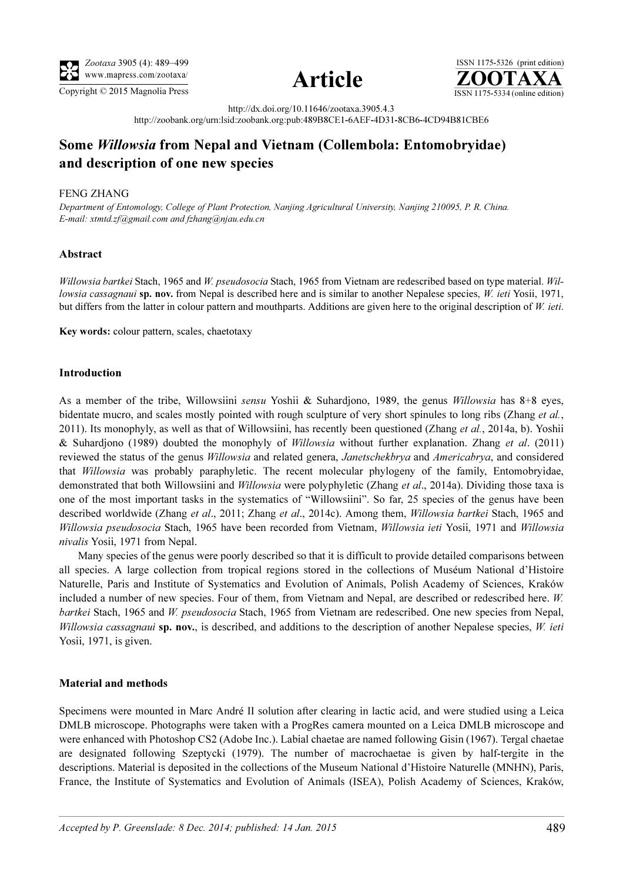





http://dx.doi.org/10.11646/zootaxa.3905.4.3 http://zoobank.org/urn:lsid:zoobank.org:pub:489B8CE1-6AEF-4D31-8CB6-4CD94B81CBE6

# Some Willowsia from Nepal and Vietnam (Collembola: Entomobryidae) and description of one new species

### FENG ZHANG

Department of Entomology, College of Plant Protection, Nanjing Agricultural University, Nanjing 210095, P. R. China. E-mail: [xtmtd.zf@gmail.com](mailto:xtmtd.zf@gmail.com) and [fzhang@njau.edu.cn](mailto:fzhang@njau.edu.cn)

## Abstract

Willowsia bartkei Stach, 1965 and W. pseudosocia Stach, 1965 from Vietnam are redescribed based on type material. Willowsia cassagnaui sp. nov. from Nepal is described here and is similar to another Nepalese species, W. ieti Yosii, 1971, but differs from the latter in colour pattern and mouthparts. Additions are given here to the original description of W. ieti.

Key words: colour pattern, scales, chaetotaxy

#### Introduction

As a member of the tribe, Willowsiini sensu Yoshii & Suhardjono, 1989, the genus Willowsia has 8+8 eyes, bidentate mucro, and scales mostly pointed with rough sculpture of very short spinules to long ribs (Zhang *et al.*, 2011). Its monophyly, as well as that of Willowsiini, has recently been questioned (Zhang et al., 2014a, b). Yoshii & Suhardjono (1989) doubted the monophyly of Willowsia without further explanation. Zhang et al. (2011) reviewed the status of the genus Willowsia and related genera, Janetschekbrya and Americabrya, and considered that Willowsia was probably paraphyletic. The recent molecular phylogeny of the family, Entomobryidae, demonstrated that both Willowsiini and Willowsia were polyphyletic (Zhang et al., 2014a). Dividing those taxa is one of the most important tasks in the systematics of "Willowsiini". So far, 25 species of the genus have been described worldwide (Zhang *et al.*, 2011; Zhang *et al.*, 2014c). Among them, *Willowsia bartkei* Stach, 1965 and Willowsia pseudosocia Stach, 1965 have been recorded from Vietnam, Willowsia ieti Yosii, 1971 and Willowsia nivalis Yosii, 1971 from Nepal.

Many species of the genus were poorly described so that it is difficult to provide detailed comparisons between all species. A large collection from tropical regions stored in the collections of Muséum National d'Histoire Naturelle, Paris and Institute of Systematics and Evolution of Animals, Polish Academy of Sciences, Kraków included a number of new species. Four of them, from Vietnam and Nepal, are described or redescribed here. W. bartkei Stach, 1965 and W. pseudosocia Stach, 1965 from Vietnam are redescribed. One new species from Nepal, Willowsia cassagnaui sp. nov., is described, and additions to the description of another Nepalese species, W. ieti Yosii, 1971, is given.

## Material and methods

Specimens were mounted in Marc André II solution after clearing in lactic acid, and were studied using a Leica DMLB microscope. Photographs were taken with a ProgRes camera mounted on a Leica DMLB microscope and were enhanced with Photoshop CS2 (Adobe Inc.). Labial chaetae are named following Gisin (1967). Tergal chaetae are designated following Szeptycki (1979). The number of macrochaetae is given by half-tergite in the descriptions. Material is deposited in the collections of the Museum National d'Histoire Naturelle (MNHN), Paris, France, the Institute of Systematics and Evolution of Animals (ISEA), Polish Academy of Sciences, Kraków,